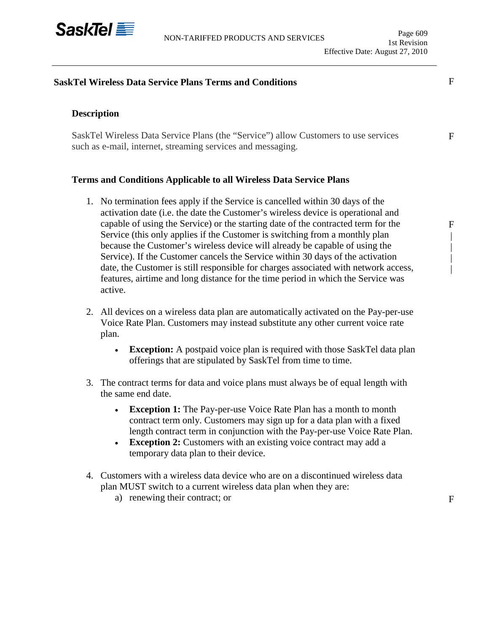

# **SaskTel Wireless Data Service Plans Terms and Conditions**

## **Description**

SaskTel Wireless Data Service Plans (the "Service") allow Customers to use services such as e-mail, internet, streaming services and messaging.

### **Terms and Conditions Applicable to all Wireless Data Service Plans**

- 1. No termination fees apply if the Service is cancelled within 30 days of the activation date (i.e. the date the Customer's wireless device is operational and capable of using the Service) or the starting date of the contracted term for the Service (this only applies if the Customer is switching from a monthly plan because the Customer's wireless device will already be capable of using the Service). If the Customer cancels the Service within 30 days of the activation date, the Customer is still responsible for charges associated with network access, features, airtime and long distance for the time period in which the Service was active.
- 2. All devices on a wireless data plan are automatically activated on the Pay-per-use Voice Rate Plan. Customers may instead substitute any other current voice rate plan.
	- **Exception:** A postpaid voice plan is required with those SaskTel data plan offerings that are stipulated by SaskTel from time to time.
- 3. The contract terms for data and voice plans must always be of equal length with the same end date.
	- **Exception 1:** The Pay-per-use Voice Rate Plan has a month to month contract term only. Customers may sign up for a data plan with a fixed length contract term in conjunction with the Pay-per-use Voice Rate Plan.
	- **Exception 2:** Customers with an existing voice contract may add a temporary data plan to their device.
- 4. Customers with a wireless data device who are on a discontinued wireless data plan MUST switch to a current wireless data plan when they are:
	- a) renewing their contract; or

F

F | | | |

F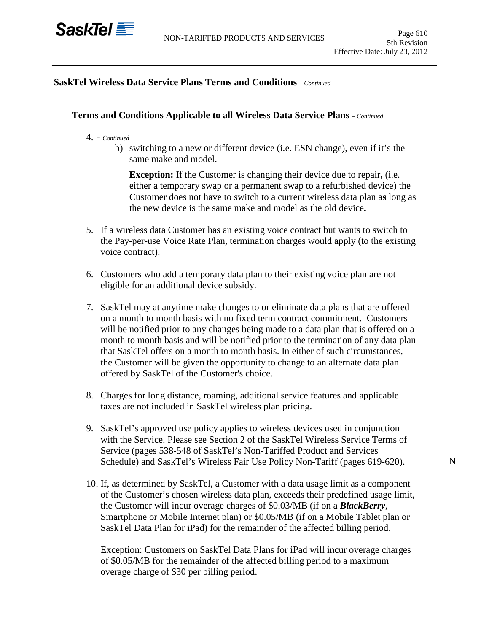

### **SaskTel Wireless Data Service Plans Terms and Conditions** *– Continued*

#### **Terms and Conditions Applicable to all Wireless Data Service Plans** *– Continued*

- 4. *- Continued*
	- b) switching to a new or different device (i.e. ESN change), even if it's the same make and model.

**Exception:** If the Customer is changing their device due to repair**,** (i.e. either a temporary swap or a permanent swap to a refurbished device) the Customer does not have to switch to a current wireless data plan a**s** long as the new device is the same make and model as the old device**.**

- 5. If a wireless data Customer has an existing voice contract but wants to switch to the Pay-per-use Voice Rate Plan, termination charges would apply (to the existing voice contract).
- 6. Customers who add a temporary data plan to their existing voice plan are not eligible for an additional device subsidy.
- 7. SaskTel may at anytime make changes to or eliminate data plans that are offered on a month to month basis with no fixed term contract commitment. Customers will be notified prior to any changes being made to a data plan that is offered on a month to month basis and will be notified prior to the termination of any data plan that SaskTel offers on a month to month basis. In either of such circumstances, the Customer will be given the opportunity to change to an alternate data plan offered by SaskTel of the Customer's choice.
- 8. Charges for long distance, roaming, additional service features and applicable taxes are not included in SaskTel wireless plan pricing.
- 9. SaskTel's approved use policy applies to wireless devices used in conjunction with the Service. Please see Section 2 of the SaskTel Wireless Service Terms of Service (pages 538-548 of SaskTel's Non-Tariffed Product and Services Schedule) and SaskTel's Wireless Fair Use Policy Non-Tariff (pages 619-620).
- 10. If, as determined by SaskTel, a Customer with a data usage limit as a component of the Customer's chosen wireless data plan, exceeds their predefined usage limit, the Customer will incur overage charges of \$0.03/MB (if on a *BlackBerry*, Smartphone or Mobile Internet plan) or \$0.05/MB (if on a Mobile Tablet plan or SaskTel Data Plan for iPad) for the remainder of the affected billing period.

Exception: Customers on SaskTel Data Plans for iPad will incur overage charges of \$0.05/MB for the remainder of the affected billing period to a maximum overage charge of \$30 per billing period.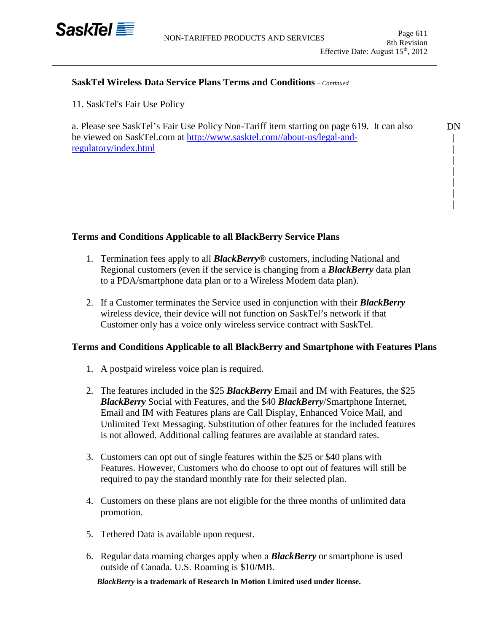

DN | | | | | | |

### **SaskTel Wireless Data Service Plans Terms and Conditions** *– Continued*

11. SaskTel's Fair Use Policy

a. Please see SaskTel's Fair Use Policy Non-Tariff item starting on page 619. It can also be viewed on SaskTel.com at [http://www.sasktel.com//about-us/legal-and](http://www.sasktel.com/about-us/legal-and-regulatory/index.html)[regulatory/index.html](http://www.sasktel.com/about-us/legal-and-regulatory/index.html)

## **Terms and Conditions Applicable to all BlackBerry Service Plans**

- 1. Termination fees apply to all *BlackBerry*® customers, including National and Regional customers (even if the service is changing from a *BlackBerry* data plan to a PDA/smartphone data plan or to a Wireless Modem data plan).
- 2. If a Customer terminates the Service used in conjunction with their *BlackBerry* wireless device, their device will not function on SaskTel's network if that Customer only has a voice only wireless service contract with SaskTel.

## **Terms and Conditions Applicable to all BlackBerry and Smartphone with Features Plans**

- 1. A postpaid wireless voice plan is required.
- 2. The features included in the \$25 *BlackBerry* Email and IM with Features, the \$25 *BlackBerry* Social with Features, and the \$40 *BlackBerry*/Smartphone Internet, Email and IM with Features plans are Call Display, Enhanced Voice Mail, and Unlimited Text Messaging. Substitution of other features for the included features is not allowed. Additional calling features are available at standard rates.
- 3. Customers can opt out of single features within the \$25 or \$40 plans with Features. However, Customers who do choose to opt out of features will still be required to pay the standard monthly rate for their selected plan.
- 4. Customers on these plans are not eligible for the three months of unlimited data promotion.
- 5. Tethered Data is available upon request.
- 6. Regular data roaming charges apply when a *BlackBerry* or smartphone is used outside of Canada. U.S. Roaming is \$10/MB.

*BlackBerry* **is a trademark of Research In Motion Limited used under license.**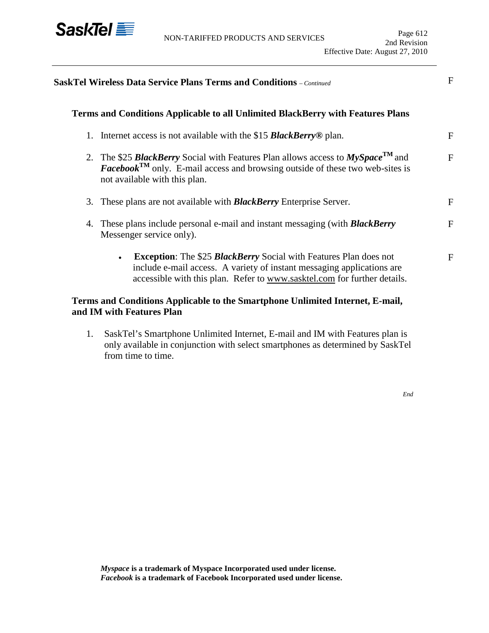

|    | <b>SaskTel Wireless Data Service Plans Terms and Conditions</b> – Continued                                                                                                                                                                        | F            |
|----|----------------------------------------------------------------------------------------------------------------------------------------------------------------------------------------------------------------------------------------------------|--------------|
|    | Terms and Conditions Applicable to all Unlimited BlackBerry with Features Plans                                                                                                                                                                    |              |
| 1. | Internet access is not available with the \$15 <b>BlackBerry</b> <sup>®</sup> plan.                                                                                                                                                                | F            |
|    | 2. The \$25 <b>BlackBerry</b> Social with Features Plan allows access to $MySpace^{TM}$ and<br><b>Facebook</b> <sup>TM</sup> only. E-mail access and browsing outside of these two web-sites is<br>not available with this plan.                   | $\mathbf{F}$ |
| 3. | These plans are not available with <b>BlackBerry</b> Enterprise Server.                                                                                                                                                                            | F            |
| 4. | These plans include personal e-mail and instant messaging (with <b>BlackBerry</b><br>Messenger service only).                                                                                                                                      | F            |
|    | <b>Exception:</b> The \$25 <b>BlackBerry</b> Social with Features Plan does not<br>$\bullet$<br>include e-mail access. A variety of instant messaging applications are<br>accessible with this plan. Refer to www.sasktel.com for further details. | F            |
|    | Terms and Conditions Applicable to the Smartphone Unlimited Internet, E-mail,<br>and IM with Features Plan                                                                                                                                         |              |

1. SaskTel's Smartphone Unlimited Internet, E-mail and IM with Features plan is only available in conjunction with select smartphones as determined by SaskTel from time to time.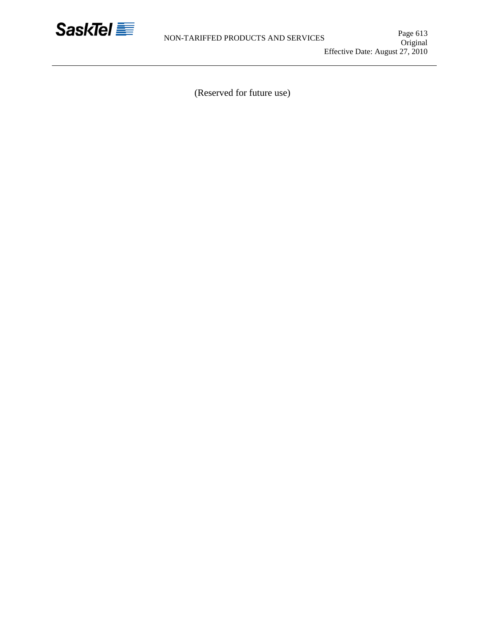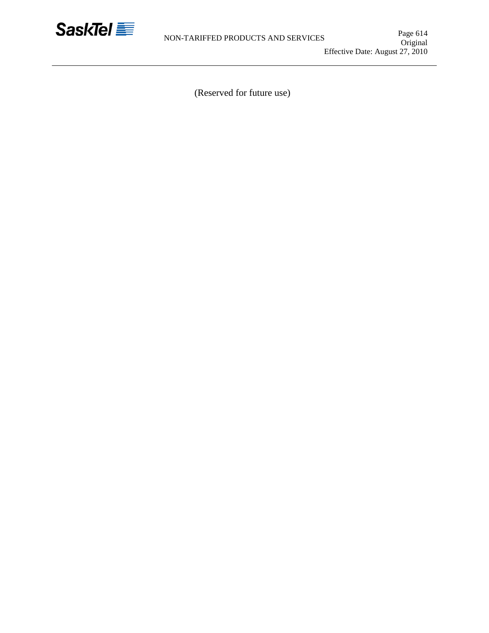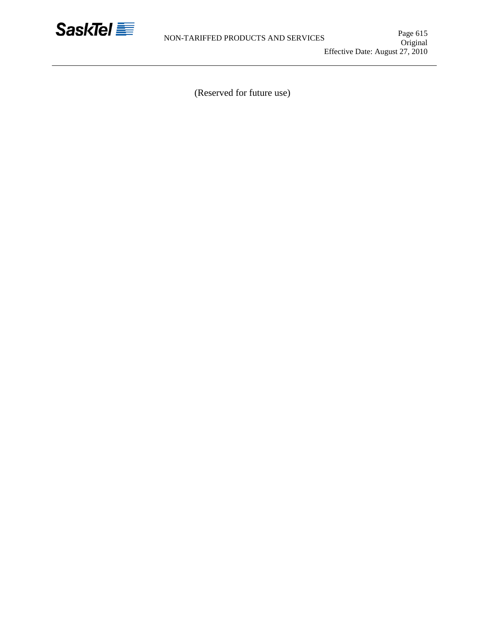